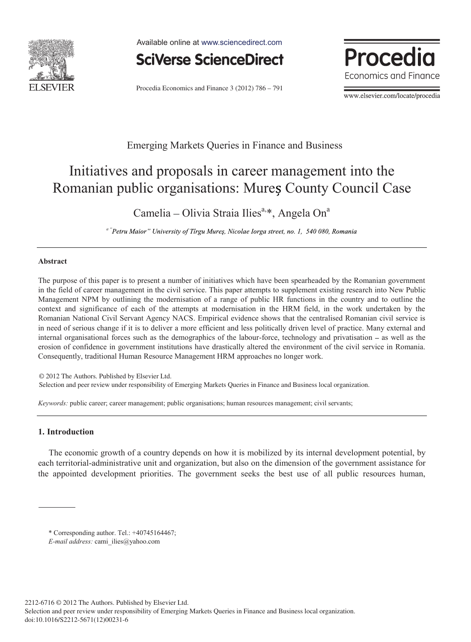

Available online at www.sciencedirect.com



Procedia Economics and Finance 3 (2012) 786 – 791



www.elsevier.com/locate/procedia

## Emerging Markets Queries in Finance and Business

# Initiatives and proposals in career management into the Romanian public organisations: Mures County Council Case

Camelia – Olivia Straia Ilies<sup>a,\*</sup>, Angela On<sup>a</sup>

<sup>a</sup> "Petru Maior" University of Tirgu Mures, Nicolae Iorga street, no. 1, 540 080, Romania

### **Abstract**

The purpose of this paper is to present a number of initiatives which have been spearheaded by the Romanian government in the field of career management in the civil service. This paper attempts to supplement existing research into New Public Management NPM by outlining the modernisation of a range of public HR functions in the country and to outline the context and significance of each of the attempts at modernisation in the HRM field, in the work undertaken by the Romanian National Civil Servant Agency NACS. Empirical evidence shows that the centralised Romanian civil service is in need of serious change if it is to deliver a more efficient and less politically driven level of practice. Many external and internal organisational forces such as the demographics of the labour-force, technology and privatisation – as well as the erosion of confidence in government institutions have drastically altered the environment of the civil service in Romania. Consequently, traditional Human Resource Management HRM approaches no longer work.

© 2012 The Authors. Published by Elsevier Ltd.

Selection and peer review under responsibility of Emerging Markets Queries in Finance and Business local organization.

*Keywords:* public career; career management; public organisations; human resources management; civil servants;

### **1. Introduction**

The economic growth of a country depends on how it is mobilized by its internal development potential, by each territorial-administrative unit and organization, but also on the dimension of the government assistance for the appointed development priorities. The government seeks the best use of all public resources human,

<sup>\*</sup> Corresponding author. Tel.: +40745164467;

*E-mail address:* cami\_ilies@yahoo.com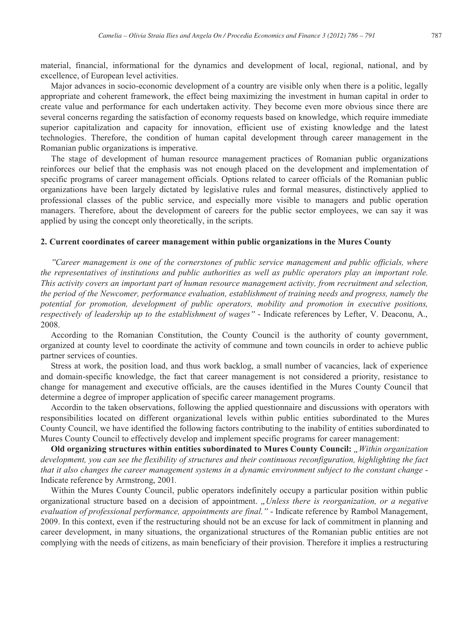material, financial, informational for the dynamics and development of local, regional, national, and by excellence, of European level activities.

Major advances in socio-economic development of a country are visible only when there is a politic, legally appropriate and coherent framework, the effect being maximizing the investment in human capital in order to create value and performance for each undertaken activity. They become even more obvious since there are several concerns regarding the satisfaction of economy requests based on knowledge, which require immediate superior capitalization and capacity for innovation, efficient use of existing knowledge and the latest technologies. Therefore, the condition of human capital development through career management in the Romanian public organizations is imperative.

The stage of development of human resource management practices of Romanian public organizations reinforces our belief that the emphasis was not enough placed on the development and implementation of specific programs of career management officials. Options related to career officials of the Romanian public organizations have been largely dictated by legislative rules and formal measures, distinctively applied to professional classes of the public service, and especially more visible to managers and public operation managers. Therefore, about the development of careers for the public sector employees, we can say it was applied by using the concept only theoretically, in the scripts.

#### **2. Current coordinates of career management within public organizations in the Mures County**

*Career management is one of the cornerstones of public service management and public officials, where the representatives of institutions and public authorities as well as public operators play an important role. This activity covers an important part of human resource management activity, from recruitment and selection, the period of the Newcomer, performance evaluation, establishment of training needs and progress, namely the potential for promotion, development of public operators, mobility and promotion in executive positions, respectively of leadership up to the establishment of wages* " - Indicate references by Lefter, V. Deaconu, A., 2008.

According to the Romanian Constitution, the County Council is the authority of county government, organized at county level to coordinate the activity of commune and town councils in order to achieve public partner services of counties.

Stress at work, the position load, and thus work backlog, a small number of vacancies, lack of experience and domain-specific knowledge, the fact that career management is not considered a priority, resistance to change for management and executive officials, are the causes identified in the Mures County Council that determine a degree of improper application of specific career management programs.

Accordin to the taken observations, following the applied questionnaire and discussions with operators with responsibilities located on different organizational levels within public entities subordinated to the Mures County Council, we have identified the following factors contributing to the inability of entities subordinated to Mures County Council to effectively develop and implement specific programs for career management:

Old organizing structures within entities subordinated to Mures County Council: "Within organization *development, you can see the flexibility of structures and their continuous reconfiguration, highlighting the fact that it also changes the career management systems in a dynamic environment subject to the constant change* - Indicate reference by Armstrong, 2001*.*

Within the Mures County Council, public operators indefinitely occupy a particular position within public organizational structure based on a decision of appointment. *Unless there is reorganization, or a negative evaluation of professional performance, appointments are final.* " - Indicate reference by Rambol Management, 2009. In this context, even if the restructuring should not be an excuse for lack of commitment in planning and career development, in many situations, the organizational structures of the Romanian public entities are not complying with the needs of citizens, as main beneficiary of their provision. Therefore it implies a restructuring